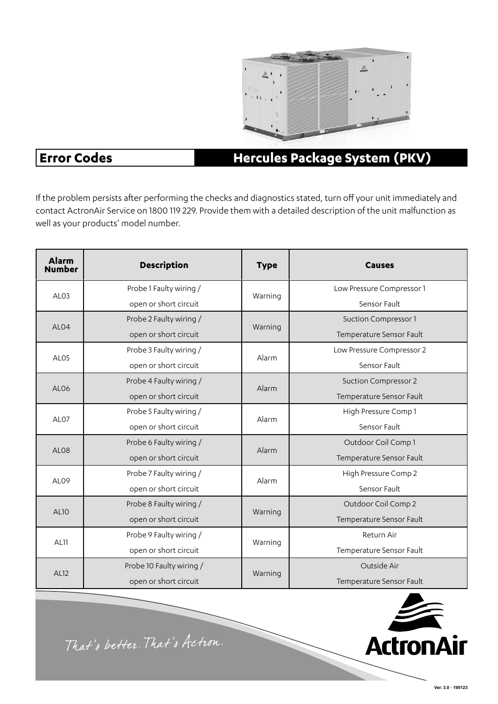

### **Error Codes**

#### **Hercules Package System (PKV)**

If the problem persists after performing the checks and diagnostics stated, turn off your unit immediately and contact ActronAir Service on 1800 119 229. Provide them with a detailed description of the unit malfunction as well as your products' model number.

| <b>Alarm</b><br><b>Number</b> | <b>Description</b>       | <b>Type</b> | <b>Causes</b>               |
|-------------------------------|--------------------------|-------------|-----------------------------|
| AL <sub>03</sub>              | Probe 1 Faulty wiring /  | Warning     | Low Pressure Compressor 1   |
|                               | open or short circuit    |             | Sensor Fault                |
| AL <sub>04</sub>              | Probe 2 Faulty wiring /  | Warning     | <b>Suction Compressor 1</b> |
|                               | open or short circuit    |             | Temperature Sensor Fault    |
| AL <sub>05</sub>              | Probe 3 Faulty wiring /  | Alarm       | Low Pressure Compressor 2   |
|                               | open or short circuit    |             | Sensor Fault                |
| AL <sub>06</sub>              | Probe 4 Faulty wiring /  | Alarm       | <b>Suction Compressor 2</b> |
|                               | open or short circuit    |             | Temperature Sensor Fault    |
| AL <sub>07</sub>              | Probe 5 Faulty wiring /  | Alarm       | High Pressure Comp 1        |
|                               | open or short circuit    |             | Sensor Fault                |
| AL <sub>08</sub>              | Probe 6 Faulty wiring /  | Alarm       | Outdoor Coil Comp 1         |
|                               | open or short circuit    |             | Temperature Sensor Fault    |
| AL <sub>09</sub>              | Probe 7 Faulty wiring /  | Alarm       | High Pressure Comp 2        |
|                               | open or short circuit    |             | Sensor Fault                |
| <b>AL10</b>                   | Probe 8 Faulty wiring /  | Warning     | Outdoor Coil Comp 2         |
|                               | open or short circuit    |             | Temperature Sensor Fault    |
| <b>AL11</b>                   | Probe 9 Faulty wiring /  | Warning     | Return Air                  |
|                               | open or short circuit    |             | Temperature Sensor Fault    |
| <b>AL12</b>                   | Probe 10 Faulty wiring / | Warning     | Outside Air                 |
|                               | open or short circuit    |             | Temperature Sensor Fault    |



That's better. That's Actron.